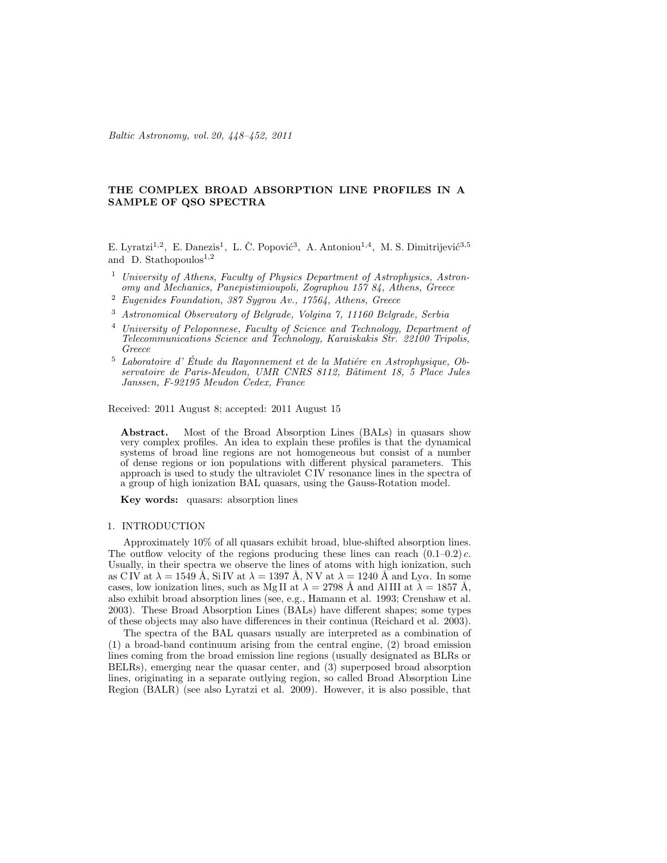Baltic Astronomy, vol. 20, 448–452, 2011

# THE COMPLEX BROAD ABSORPTION LINE PROFILES IN A SAMPLE OF QSO SPECTRA

E. Lyratzi<sup>1,2</sup>, E. Danezis<sup>1</sup>, L. Č. Popović<sup>3</sup>, A. Antoniou<sup>1,4</sup>, M. S. Dimitrijević<sup>3,5</sup> and D. Stathopoulos<sup>1,2</sup>

- <sup>1</sup> University of Athens, Faculty of Physics Department of Astrophysics, Astronomy and Mechanics, Panepistimioupoli, Zographou 157 84, Athens, Greece
- $2$  Eugenides Foundation, 387 Sygrou Av., 17564, Athens, Greece
- <sup>3</sup> Astronomical Observatory of Belgrade, Volgina 7, 11160 Belgrade, Serbia
- <sup>4</sup> University of Peloponnese, Faculty of Science and Technology, Department of Telecommunications Science and Technology, Karaiskakis Str. 22100 Tripolis, Greece
- $5$  Laboratoire d'Étude du Rayonnement et de la Matiére en Astrophysique, Observatoire de Paris-Meudon, UMR CNRS 8112, Bâtiment 18, 5 Place Jules Janssen, F-92195 Meudon Cedex, France

Received: 2011 August 8; accepted: 2011 August 15

Abstract. Most of the Broad Absorption Lines (BALs) in quasars show very complex profiles. An idea to explain these profiles is that the dynamical systems of broad line regions are not homogeneous but consist of a number of dense regions or ion populations with different physical parameters. This approach is used to study the ultraviolet C IV resonance lines in the spectra of a group of high ionization BAL quasars, using the Gauss-Rotation model.

Key words: quasars: absorption lines

#### 1. INTRODUCTION

Approximately 10% of all quasars exhibit broad, blue-shifted absorption lines. The outflow velocity of the regions producing these lines can reach  $(0.1-0.2)$  c. Usually, in their spectra we observe the lines of atoms with high ionization, such as C IV at  $\lambda = 1549 \text{ Å}$ , Si IV at  $\lambda = 1397 \text{ Å}$ , N V at  $\lambda = 1240 \text{ Å}$  and Ly $\alpha$ . In some cases, low ionization lines, such as Mg II at  $\lambda = 2798$  Å and AlIII at  $\lambda = 1857$  Å, also exhibit broad absorption lines (see, e.g., Hamann et al. 1993; Crenshaw et al. 2003). These Broad Absorption Lines (BALs) have different shapes; some types of these objects may also have differences in their continua (Reichard et al. 2003).

The spectra of the BAL quasars usually are interpreted as a combination of (1) a broad-band continuum arising from the central engine, (2) broad emission lines coming from the broad emission line regions (usually designated as BLRs or BELRs), emerging near the quasar center, and (3) superposed broad absorption lines, originating in a separate outlying region, so called Broad Absorption Line Region (BALR) (see also Lyratzi et al. 2009). However, it is also possible, that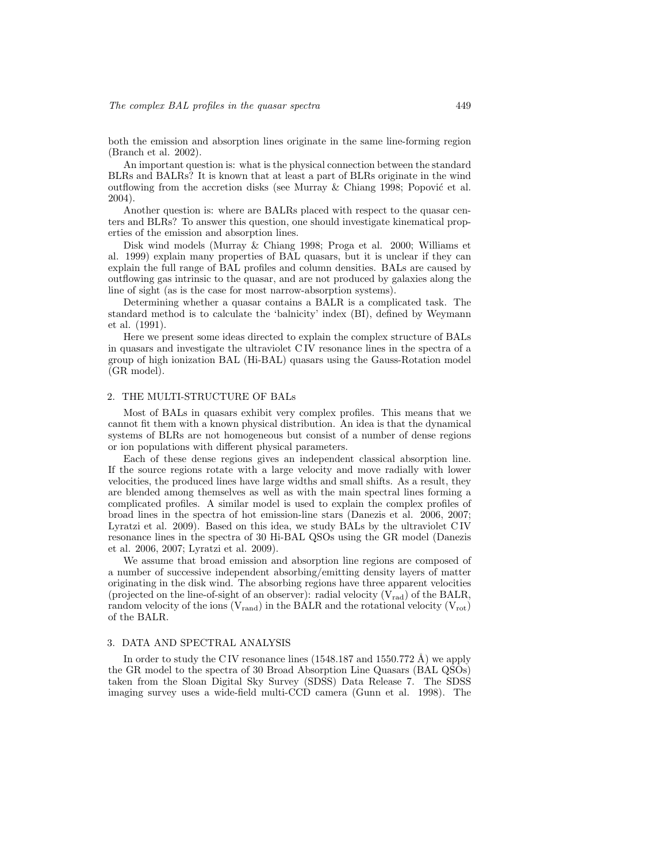both the emission and absorption lines originate in the same line-forming region (Branch et al. 2002).

An important question is: what is the physical connection between the standard BLRs and BALRs? It is known that at least a part of BLRs originate in the wind outflowing from the accretion disks (see Murray  $&$  Chiang 1998; Popović et al. 2004).

Another question is: where are BALRs placed with respect to the quasar centers and BLRs? To answer this question, one should investigate kinematical properties of the emission and absorption lines.

Disk wind models (Murray & Chiang 1998; Proga et al. 2000; Williams et al. 1999) explain many properties of BAL quasars, but it is unclear if they can explain the full range of BAL profiles and column densities. BALs are caused by outflowing gas intrinsic to the quasar, and are not produced by galaxies along the line of sight (as is the case for most narrow-absorption systems).

Determining whether a quasar contains a BALR is a complicated task. The standard method is to calculate the 'balnicity' index (BI), defined by Weymann et al. (1991).

Here we present some ideas directed to explain the complex structure of BALs in quasars and investigate the ultraviolet C IV resonance lines in the spectra of a group of high ionization BAL (Hi-BAL) quasars using the Gauss-Rotation model (GR model).

# 2. THE MULTI-STRUCTURE OF BALs

Most of BALs in quasars exhibit very complex profiles. This means that we cannot fit them with a known physical distribution. An idea is that the dynamical systems of BLRs are not homogeneous but consist of a number of dense regions or ion populations with different physical parameters.

Each of these dense regions gives an independent classical absorption line. If the source regions rotate with a large velocity and move radially with lower velocities, the produced lines have large widths and small shifts. As a result, they are blended among themselves as well as with the main spectral lines forming a complicated profiles. A similar model is used to explain the complex profiles of broad lines in the spectra of hot emission-line stars (Danezis et al. 2006, 2007; Lyratzi et al. 2009). Based on this idea, we study BALs by the ultraviolet C IV resonance lines in the spectra of 30 Hi-BAL QSOs using the GR model (Danezis et al. 2006, 2007; Lyratzi et al. 2009).

We assume that broad emission and absorption line regions are composed of a number of successive independent absorbing/emitting density layers of matter originating in the disk wind. The absorbing regions have three apparent velocities (projected on the line-of-sight of an observer): radial velocity  $(V_{rad})$  of the BALR, random velocity of the ions  $(V_{rand})$  in the BALR and the rotational velocity  $(V_{rot})$ of the BALR.

# 3. DATA AND SPECTRAL ANALYSIS

In order to study the C IV resonance lines  $(1548.187 \text{ and } 1550.772 \text{ Å})$  we apply the GR model to the spectra of 30 Broad Absorption Line Quasars (BAL QSOs) taken from the Sloan Digital Sky Survey (SDSS) Data Release 7. The SDSS imaging survey uses a wide-field multi-CCD camera (Gunn et al. 1998). The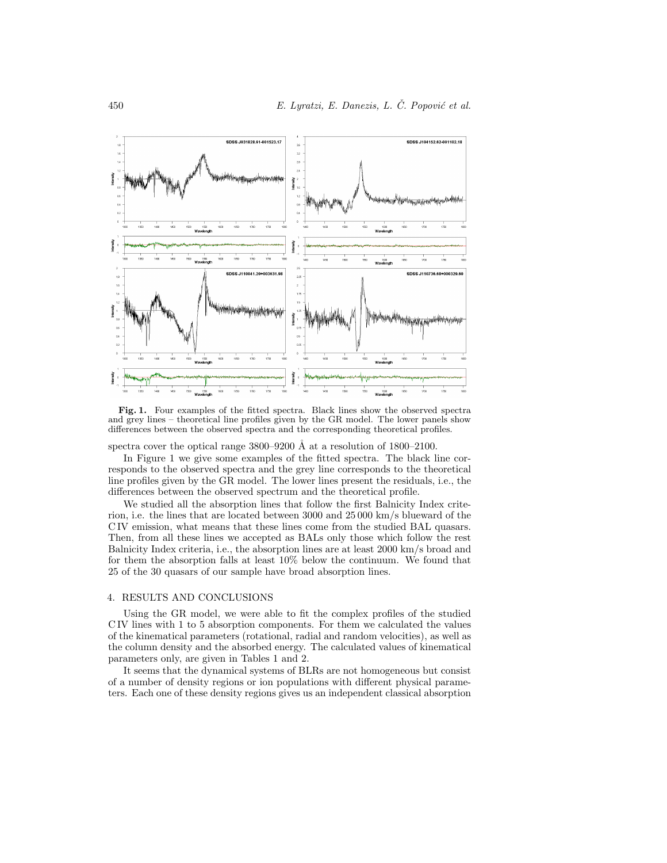

Fig. 1. Four examples of the fitted spectra. Black lines show the observed spectra and grey lines – theoretical line profiles given by the GR model. The lower panels show differences between the observed spectra and the corresponding theoretical profiles.

spectra cover the optical range  $3800-9200$  Å at a resolution of  $1800-2100$ .

In Figure 1 we give some examples of the fitted spectra. The black line corresponds to the observed spectra and the grey line corresponds to the theoretical line profiles given by the GR model. The lower lines present the residuals, i.e., the differences between the observed spectrum and the theoretical profile.

We studied all the absorption lines that follow the first Balnicity Index criterion, i.e. the lines that are located between 3000 and 25 000 km/s blueward of the C IV emission, what means that these lines come from the studied BAL quasars. Then, from all these lines we accepted as BALs only those which follow the rest Balnicity Index criteria, i.e., the absorption lines are at least 2000 km/s broad and for them the absorption falls at least 10% below the continuum. We found that 25 of the 30 quasars of our sample have broad absorption lines.

## 4. RESULTS AND CONCLUSIONS

Using the GR model, we were able to fit the complex profiles of the studied C IV lines with 1 to 5 absorption components. For them we calculated the values of the kinematical parameters (rotational, radial and random velocities), as well as the column density and the absorbed energy. The calculated values of kinematical parameters only, are given in Tables 1 and 2.

It seems that the dynamical systems of BLRs are not homogeneous but consist of a number of density regions or ion populations with different physical parameters. Each one of these density regions gives us an independent classical absorption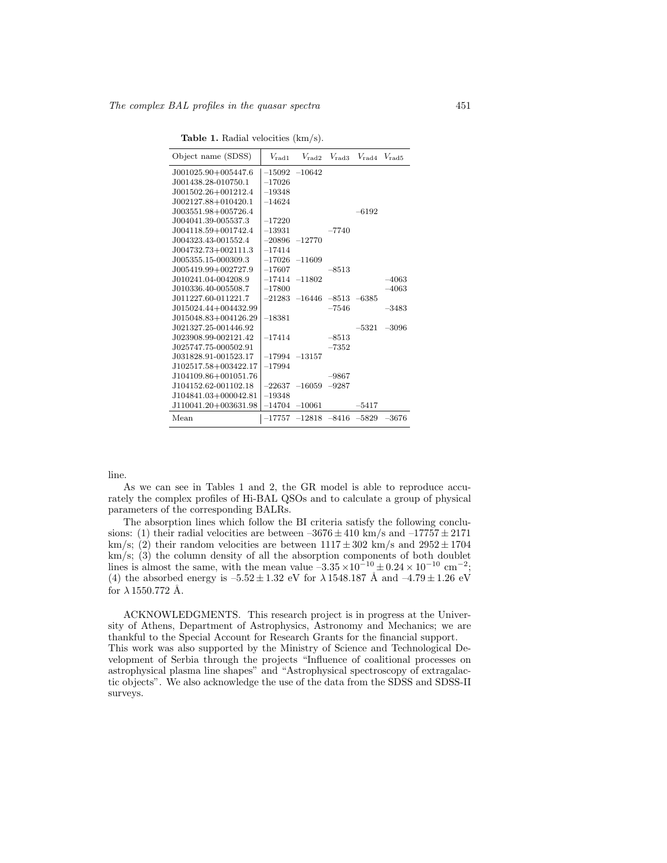Table 1. Radial velocities (km/s).

| Object name (SDSS)   |                   | $V_{\rm rad1}$ $V_{\rm rad2}$ $V_{\rm rad3}$ $V_{\rm rad4}$ $V_{\rm rad5}$ |         |         |               |
|----------------------|-------------------|----------------------------------------------------------------------------|---------|---------|---------------|
| J001025.90+005447.6  |                   | $-15092 -10642$                                                            |         |         |               |
| J001438.28-010750.1  | $-17026$          |                                                                            |         |         |               |
| J001502.26+001212.4  | $-19348$          |                                                                            |         |         |               |
| J002127.88+010420.1  | $-14624$          |                                                                            |         |         |               |
| J003551.98+005726.4  |                   |                                                                            |         | $-6192$ |               |
| J004041.39-005537.3  | $-17220$          |                                                                            |         |         |               |
| J004118.59+001742.4  | $-13931$          |                                                                            | $-7740$ |         |               |
| J004323.43-001552.4  |                   | $-20896 -12770$                                                            |         |         |               |
| J004732.73+002111.3  | $-17414$          |                                                                            |         |         |               |
| J005355.15-000309.3  | $-17026$ $-11609$ |                                                                            |         |         |               |
| J005419.99+002727.9  | $-17607$          |                                                                            | $-8513$ |         |               |
| J010241.04-004208.9  |                   | $-17414 -11802$                                                            |         |         | $-4063$       |
| J010336.40-005508.7  | $-17800$          |                                                                            |         |         | $-4063$       |
| J011227.60-011221.7  |                   | $-21283$ $-16446$ $-8513$ $-6385$                                          |         |         |               |
| J015024.44+004432.99 |                   |                                                                            | $-7546$ |         | $-3483$       |
| J015048.83+004126.29 | $-18381$          |                                                                            |         |         |               |
| J021327.25-001446.92 |                   |                                                                            |         |         | $-5321 -3096$ |
| J023908.99-002121.42 | $-17414$          |                                                                            | $-8513$ |         |               |
| J025747.75-000502.91 |                   |                                                                            | $-7352$ |         |               |
| J031828.91-001523.17 |                   | $-17994$ $-13157$                                                          |         |         |               |
| J102517.58+003422.17 | $-17994$          |                                                                            |         |         |               |
| J104109.86+001051.76 |                   |                                                                            | $-9867$ |         |               |
| J104152.62-001102.18 |                   | $-22637 -16059 -9287$                                                      |         |         |               |
| J104841.03+000042.81 | $-19348$          |                                                                            |         |         |               |
| J110041.20+003631.98 |                   | $-14704$ $-10061$                                                          |         | -5417   |               |
| Mean                 |                   | $-17757$ $-12818$ $-8416$ $-5829$ $-3676$                                  |         |         |               |
|                      |                   |                                                                            |         |         |               |

line.

As we can see in Tables 1 and 2, the GR model is able to reproduce accurately the complex profiles of Hi-BAL QSOs and to calculate a group of physical parameters of the corresponding BALRs.

The absorption lines which follow the BI criteria satisfy the following conclusions: (1) their radial velocities are between  $-3676 \pm 410$  km/s and  $-17757 \pm 2171$ km/s; (2) their random velocities are between  $1117 \pm 302$  km/s and  $2952 \pm 1704$ km/s; (3) the column density of all the absorption components of both doublet lines is almost the same, with the mean value  $-3.35 \times 10^{-10} \pm 0.24 \times 10^{-10}$  cm<sup>-2</sup>; (4) the absorbed energy is  $-5.52 \pm 1.32$  eV for  $\lambda 1548.187$  Å and  $-4.79 \pm 1.26$  eV for  $\lambda$  1550.772 Å.

ACKNOWLEDGMENTS. This research project is in progress at the University of Athens, Department of Astrophysics, Astronomy and Mechanics; we are thankful to the Special Account for Research Grants for the financial support. This work was also supported by the Ministry of Science and Technological Development of Serbia through the projects "Influence of coalitional processes on astrophysical plasma line shapes" and "Astrophysical spectroscopy of extragalactic objects". We also acknowledge the use of the data from the SDSS and SDSS-II surveys.